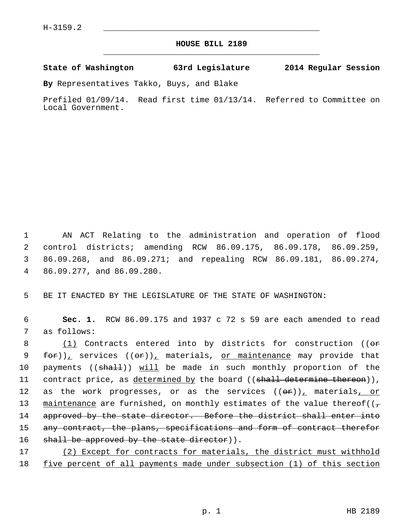## **HOUSE BILL 2189** \_\_\_\_\_\_\_\_\_\_\_\_\_\_\_\_\_\_\_\_\_\_\_\_\_\_\_\_\_\_\_\_\_\_\_\_\_\_\_\_\_\_\_\_\_

## **State of Washington 63rd Legislature 2014 Regular Session**

**By** Representatives Takko, Buys, and Blake

Prefiled 01/09/14. Read first time 01/13/14. Referred to Committee on Local Government.

 1 AN ACT Relating to the administration and operation of flood 2 control districts; amending RCW 86.09.175, 86.09.178, 86.09.259, 3 86.09.268, and 86.09.271; and repealing RCW 86.09.181, 86.09.274, 4 86.09.277, and 86.09.280.

5 BE IT ENACTED BY THE LEGISLATURE OF THE STATE OF WASHINGTON:

 6 **Sec. 1.** RCW 86.09.175 and 1937 c 72 s 59 are each amended to read 7 as follows:

8 (1) Contracts entered into by districts for construction (( $\Theta$ r 9 for)), services  $((\sigma \cdot)^{\mathbb{Z}})$  materials, or maintenance may provide that 10 payments ((shall)) will be made in such monthly proportion of the 11 contract price, as determined by the board ((shall determine thereon)), 12 as the work progresses, or as the services  $((\theta \cdot \hat{r}))_+$  materials, or 13 maintenance are furnished, on monthly estimates of the value thereof( $(\tau$ 14 approved by the state director. Before the district shall enter into 15 any contract, the plans, specifications and form of contract therefor 16 shall be approved by the state director)).

17 (2) Except for contracts for materials, the district must withhold 18 five percent of all payments made under subsection (1) of this section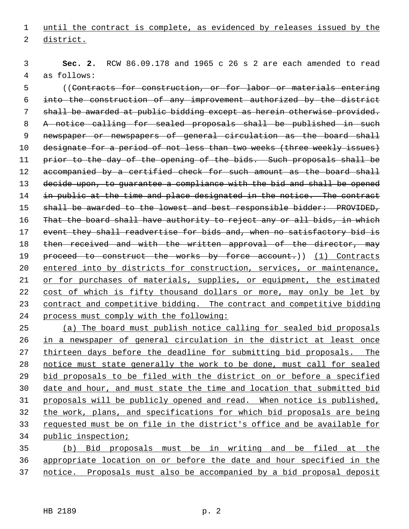until the contract is complete, as evidenced by releases issued by the district.

 **Sec. 2.** RCW 86.09.178 and 1965 c 26 s 2 are each amended to read 4 as follows:

 5 ((Contracts for construction, or for labor or materials entering into the construction of any improvement authorized by the district 7 shall be awarded at public bidding except as herein otherwise provided. 8 A notice calling for sealed proposals shall be published in such 9 newspaper or newspapers of general circulation as the board shall designate for a period of not less than two weeks (three weekly issues) 11 prior to the day of the opening of the bids. Such proposals shall be 12 accompanied by a certified check for such amount as the board shall decide upon, to guarantee a compliance with the bid and shall be opened 14 in public at the time and place designated in the notice. The contract 15 shall be awarded to the lowest and best responsible bidder: PROVIDED, 16 That the board shall have authority to reject any or all bids, in which 17 event they shall readvertise for bids and, when no satisfactory bid is 18 then received and with the written approval of the director, may 19 proceed to construct the works by force account.)) (1) Contracts entered into by districts for construction, services, or maintenance, or for purchases of materials, supplies, or equipment, the estimated cost of which is fifty thousand dollars or more, may only be let by contract and competitive bidding. The contract and competitive bidding process must comply with the following:

 (a) The board must publish notice calling for sealed bid proposals in a newspaper of general circulation in the district at least once thirteen days before the deadline for submitting bid proposals. The notice must state generally the work to be done, must call for sealed bid proposals to be filed with the district on or before a specified date and hour, and must state the time and location that submitted bid proposals will be publicly opened and read. When notice is published, the work, plans, and specifications for which bid proposals are being requested must be on file in the district's office and be available for public inspection;

 (b) Bid proposals must be in writing and be filed at the appropriate location on or before the date and hour specified in the notice. Proposals must also be accompanied by a bid proposal deposit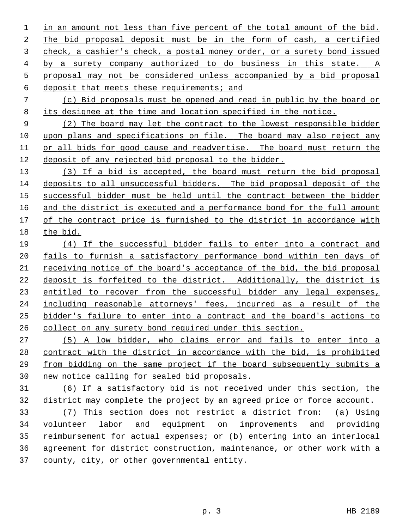in an amount not less than five percent of the total amount of the bid. The bid proposal deposit must be in the form of cash, a certified check, a cashier's check, a postal money order, or a surety bond issued by a surety company authorized to do business in this state. A proposal may not be considered unless accompanied by a bid proposal deposit that meets these requirements; and

 (c) Bid proposals must be opened and read in public by the board or its designee at the time and location specified in the notice.

 (2) The board may let the contract to the lowest responsible bidder upon plans and specifications on file. The board may also reject any or all bids for good cause and readvertise. The board must return the deposit of any rejected bid proposal to the bidder.

 (3) If a bid is accepted, the board must return the bid proposal deposits to all unsuccessful bidders. The bid proposal deposit of the successful bidder must be held until the contract between the bidder and the district is executed and a performance bond for the full amount of the contract price is furnished to the district in accordance with the bid.

 (4) If the successful bidder fails to enter into a contract and fails to furnish a satisfactory performance bond within ten days of receiving notice of the board's acceptance of the bid, the bid proposal deposit is forfeited to the district. Additionally, the district is entitled to recover from the successful bidder any legal expenses, including reasonable attorneys' fees, incurred as a result of the bidder's failure to enter into a contract and the board's actions to collect on any surety bond required under this section.

 (5) A low bidder, who claims error and fails to enter into a contract with the district in accordance with the bid, is prohibited from bidding on the same project if the board subsequently submits a new notice calling for sealed bid proposals.

 (6) If a satisfactory bid is not received under this section, the district may complete the project by an agreed price or force account.

 (7) This section does not restrict a district from: (a) Using volunteer labor and equipment on improvements and providing reimbursement for actual expenses; or (b) entering into an interlocal agreement for district construction, maintenance, or other work with a county, city, or other governmental entity.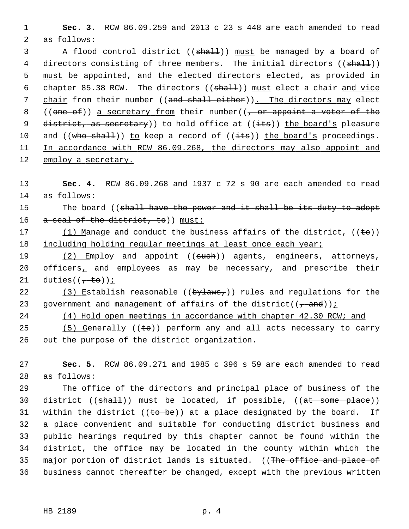1 **Sec. 3.** RCW 86.09.259 and 2013 c 23 s 448 are each amended to read 2 as follows:

3 A flood control district ((shall)) must be managed by a board of 4 directors consisting of three members. The initial directors ((shall)) 5 must be appointed, and the elected directors elected, as provided in 6 chapter 85.38 RCW. The directors ((shall)) must elect a chair and vice 7 chair from their number ((and shall either)). The directors may elect 8 ((one of)) a secretary from their number( $\sqrt{7}$  or appoint a voter of the 9 district, as secretary) to hold office at  $((i$ ts)) the board's pleasure 10 and  $((who shall))$  to keep a record of  $((its))$  the board's proceedings. 11 In accordance with RCW 86.09.268, the directors may also appoint and 12 employ a secretary.

13 **Sec. 4.** RCW 86.09.268 and 1937 c 72 s 90 are each amended to read 14 as follows:

15 The board ((shall have the power and it shall be its duty to adopt 16 a seal of the district, to)) must:

17 (1) Manage and conduct the business affairs of the district,  $((\epsilon \Theta))$ 18 including holding regular meetings at least once each year;

19 (2) Employ and appoint ((such)) agents, engineers, attorneys, 20 officers, and employees as may be necessary, and prescribe their 21 duties( $\left(\frac{1}{t} + \epsilon \theta\right)$ );

22 (3) Establish reasonable ( $(\frac{bylaw}{g})$ ) rules and regulations for the 23 government and management of affairs of the district( $(\frac{1}{2}, \frac{1}{2})$ ;

24 (4) Hold open meetings in accordance with chapter 42.30 RCW; and

25  $(5)$  Generally  $((\pm e))$  perform any and all acts necessary to carry 26 out the purpose of the district organization.

27 **Sec. 5.** RCW 86.09.271 and 1985 c 396 s 59 are each amended to read 28 as follows:

29 The office of the directors and principal place of business of the 30 district  $((shall))$  must be located, if possible,  $((at some place))$ 31 within the district  $((\text{to be}))$  at a place designated by the board. If 32 a place convenient and suitable for conducting district business and 33 public hearings required by this chapter cannot be found within the 34 district, the office may be located in the county within which the 35 major portion of district lands is situated. ((The office and place of 36 business cannot thereafter be changed, except with the previous written